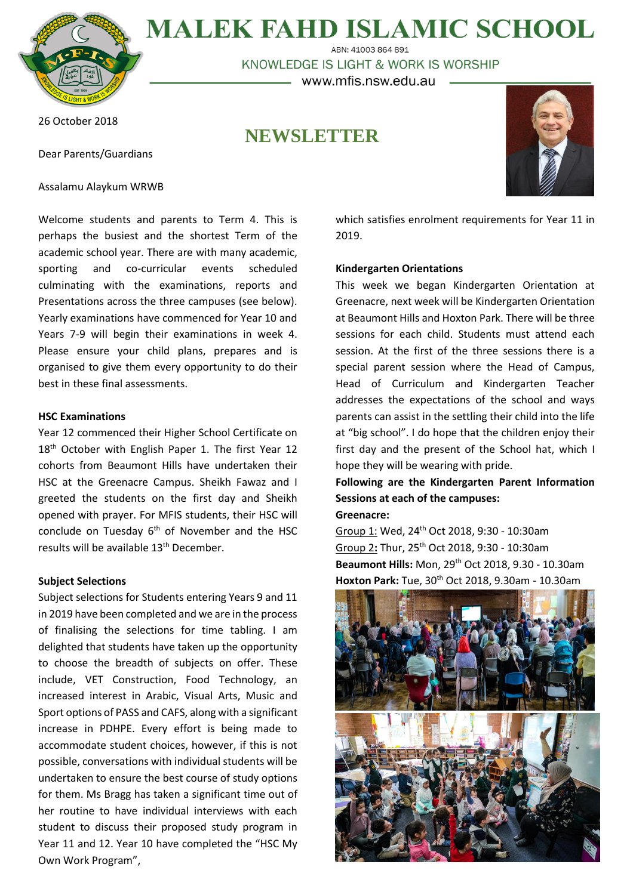

**MALEK FAHD ISLAMIC SCHOOL** ABN: 41003 864 891

KNOWLEDGE IS LIGHT & WORK IS WORSHIP

– www.mfis.nsw.edu.au –

26 October 2018

Dear Parents/Guardians

Assalamu Alaykum WRWB

**NEWSLETTER**



Welcome students and parents to Term 4. This is perhaps the busiest and the shortest Term of the academic school year. There are with many academic, sporting and co-curricular events scheduled culminating with the examinations, reports and Presentations across the three campuses (see below). Yearly examinations have commenced for Year 10 and Years 7-9 will begin their examinations in week 4. Please ensure your child plans, prepares and is organised to give them every opportunity to do their best in these final assessments.

#### **HSC Examinations**

Year 12 commenced their Higher School Certificate on 18<sup>th</sup> October with English Paper 1. The first Year 12 cohorts from Beaumont Hills have undertaken their HSC at the Greenacre Campus. Sheikh Fawaz and I greeted the students on the first day and Sheikh opened with prayer. For MFIS students, their HSC will conclude on Tuesday 6<sup>th</sup> of November and the HSC results will be available 13th December.

#### **Subject Selections**

Subject selections for Students entering Years 9 and 11 in 2019 have been completed and we are in the process of finalising the selections for time tabling. I am delighted that students have taken up the opportunity to choose the breadth of subjects on offer. These include, VET Construction, Food Technology, an increased interest in Arabic, Visual Arts, Music and Sport options of PASS and CAFS, along with a significant increase in PDHPE. Every effort is being made to accommodate student choices, however, if this is not possible, conversations with individual students will be undertaken to ensure the best course of study options for them. Ms Bragg has taken a significant time out of her routine to have individual interviews with each student to discuss their proposed study program in Year 11 and 12. Year 10 have completed the "HSC My Own Work Program",

which satisfies enrolment requirements for Year 11 in 2019.

#### **Kindergarten Orientations**

This week we began Kindergarten Orientation at Greenacre, next week will be Kindergarten Orientation at Beaumont Hills and Hoxton Park. There will be three sessions for each child. Students must attend each session. At the first of the three sessions there is a special parent session where the Head of Campus, Head of Curriculum and Kindergarten Teacher addresses the expectations of the school and ways parents can assist in the settling their child into the life at "big school". I do hope that the children enjoy their first day and the present of the School hat, which I hope they will be wearing with pride.

**Following are the Kindergarten Parent Information Sessions at each of the campuses: Greenacre:**

Group 1: Wed, 24th Oct 2018, 9:30 - 10:30am Group 2**:** Thur, 25th Oct 2018, 9:30 - 10:30am **Beaumont Hills:** Mon, 29th Oct 2018, 9.30 - 10.30am **Hoxton Park:** Tue, 30th Oct 2018, 9.30am - 10.30am

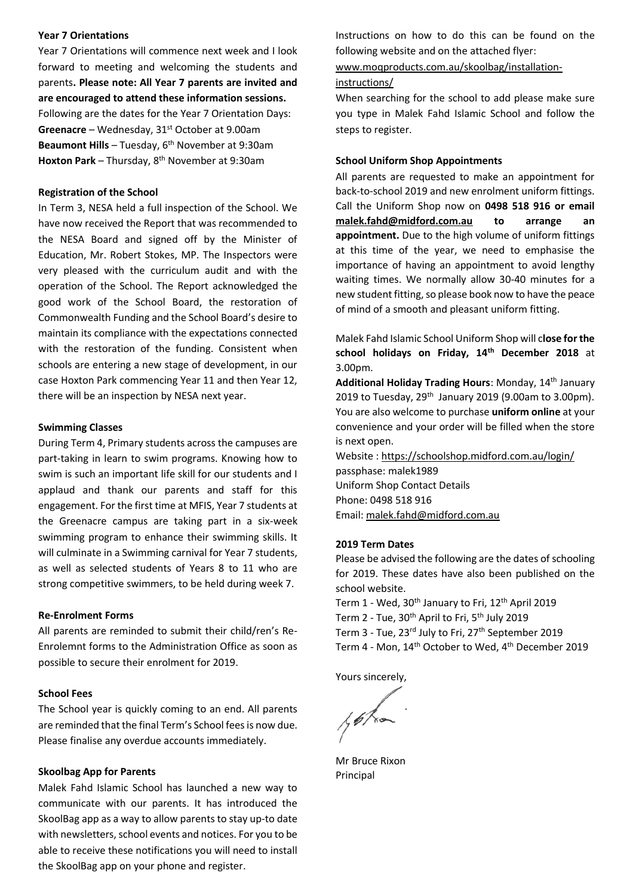#### **Year 7 Orientations**

Year 7 Orientations will commence next week and I look forward to meeting and welcoming the students and parents**. Please note: All Year 7 parents are invited and are encouraged to attend these information sessions.** Following are the dates for the Year 7 Orientation Days: Greenacre – Wednesday, 31<sup>st</sup> October at 9.00am **Beaumont Hills** – Tuesday, 6<sup>th</sup> November at 9:30am **Hoxton Park** – Thursday, 8th November at 9:30am

#### **Registration of the School**

In Term 3, NESA held a full inspection of the School. We have now received the Report that was recommended to the NESA Board and signed off by the Minister of Education, Mr. Robert Stokes, MP. The Inspectors were very pleased with the curriculum audit and with the operation of the School. The Report acknowledged the good work of the School Board, the restoration of Commonwealth Funding and the School Board's desire to maintain its compliance with the expectations connected with the restoration of the funding. Consistent when schools are entering a new stage of development, in our case Hoxton Park commencing Year 11 and then Year 12, there will be an inspection by NESA next year.

#### **Swimming Classes**

During Term 4, Primary students across the campuses are part-taking in learn to swim programs. Knowing how to swim is such an important life skill for our students and I applaud and thank our parents and staff for this engagement. For the first time at MFIS, Year 7 students at the Greenacre campus are taking part in a six-week swimming program to enhance their swimming skills. It will culminate in a Swimming carnival for Year 7 students, as well as selected students of Years 8 to 11 who are strong competitive swimmers, to be held during week 7.

#### **Re-Enrolment Forms**

All parents are reminded to submit their child/ren's Re-Enrolemnt forms to the Administration Office as soon as possible to secure their enrolment for 2019.

#### **School Fees**

The School year is quickly coming to an end. All parents are reminded that the final Term's School fees is now due. Please finalise any overdue accounts immediately.

#### **Skoolbag App for Parents**

Malek Fahd Islamic School has launched a new way to communicate with our parents. It has introduced the SkoolBag app as a way to allow parents to stay up-to date with newsletters, school events and notices. For you to be able to receive these notifications you will need to install the SkoolBag app on your phone and register.

Instructions on how to do this can be found on the following website and on the attached flyer:

[www.moqproducts.com.au/skoolbag/installation-](http://www.moqproducts.com.au/skoolbag/installation-instructions/)

#### [instructions/](http://www.moqproducts.com.au/skoolbag/installation-instructions/)

When searching for the school to add please make sure you type in Malek Fahd Islamic School and follow the steps to register.

#### **School Uniform Shop Appointments**

All parents are requested to make an appointment for back-to-school 2019 and new enrolment uniform fittings. Call the Uniform Shop now on **0498 518 916 or email [malek.fahd@midford.com.au](mailto:malek.fahd@midford.com.au) to arrange an appointment.** Due to the high volume of uniform fittings at this time of the year, we need to emphasise the importance of having an appointment to avoid lengthy waiting times. We normally allow 30-40 minutes for a new student fitting, so please book now to have the peace of mind of a smooth and pleasant uniform fitting.

Malek Fahd Islamic School Uniform Shop will c**lose for the school holidays on Friday, 14th December 2018** at 3.00pm.

**Additional Holiday Trading Hours**: Monday, 14th January 2019 to Tuesday, 29<sup>th</sup> January 2019 (9.00am to 3.00pm). You are also welcome to purchase **uniform online** at your convenience and your order will be filled when the store is next open.

Website [: https://schoolshop.midford.com.au/login/](https://schoolshop.midford.com.au/login/) passphase: malek1989 Uniform Shop Contact Details Phone: 0498 518 916 Email: [malek.fahd@midford.com.au](mailto:malek.fahd@midford.com.au)

#### **2019 Term Dates**

Please be advised the following are the dates of schooling for 2019. These dates have also been published on the school website.

Term 1 - Wed, 30<sup>th</sup> January to Fri, 12<sup>th</sup> April 2019

Term 2 - Tue, 30<sup>th</sup> April to Fri, 5<sup>th</sup> July 2019

Term 3 - Tue, 23<sup>rd</sup> July to Fri, 27<sup>th</sup> September 2019

Term 4 - Mon, 14<sup>th</sup> October to Wed, 4<sup>th</sup> December 2019

Yours sincerely,

yoka

Mr Bruce Rixon Principal